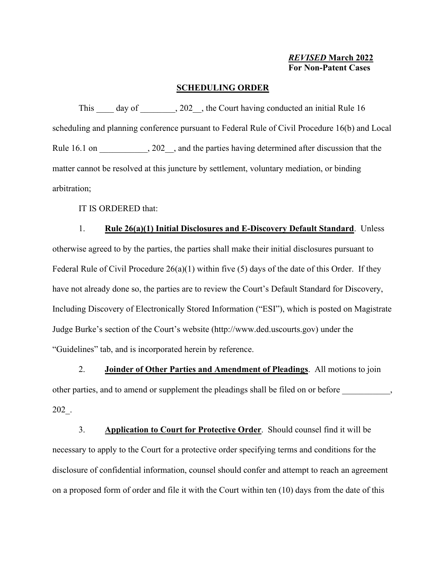## **SCHEDULING ORDER**

This day of 202, the Court having conducted an initial Rule 16 scheduling and planning conference pursuant to Federal Rule of Civil Procedure 16(b) and Local Rule 16.1 on  $\qquad \qquad$ , 202 , and the parties having determined after discussion that the matter cannot be resolved at this juncture by settlement, voluntary mediation, or binding arbitration;

IT IS ORDERED that:

1. **Rule 26(a)(1) Initial Disclosures and E-Discovery Default Standard**. Unless otherwise agreed to by the parties, the parties shall make their initial disclosures pursuant to Federal Rule of Civil Procedure 26(a)(1) within five (5) days of the date of this Order. If they have not already done so, the parties are to review the Court's Default Standard for Discovery, Including Discovery of Electronically Stored Information ("ESI"), which is posted on Magistrate Judge Burke's section of the Court's website (http://www.ded.uscourts.gov) under the "Guidelines" tab, and is incorporated herein by reference.

2. **Joinder of Other Parties and Amendment of Pleadings**. All motions to join other parties, and to amend or supplement the pleadings shall be filed on or before  $\,$ , 202\_.

3. **Application to Court for Protective Order**. Should counsel find it will be necessary to apply to the Court for a protective order specifying terms and conditions for the disclosure of confidential information, counsel should confer and attempt to reach an agreement on a proposed form of order and file it with the Court within ten (10) days from the date of this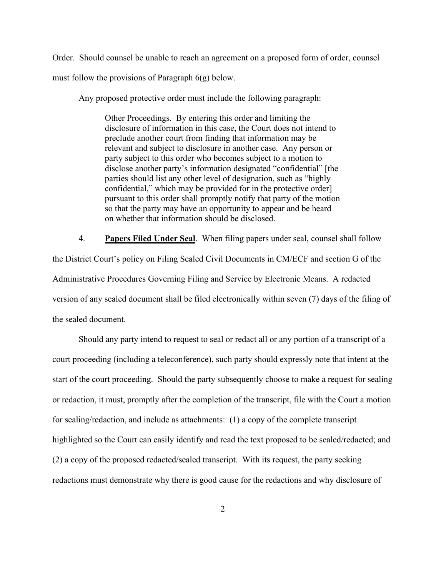Order. Should counsel be unable to reach an agreement on a proposed form of order, counsel must follow the provisions of Paragraph 6(g) below.

Any proposed protective order must include the following paragraph:

Other Proceedings. By entering this order and limiting the disclosure of information in this case, the Court does not intend to preclude another court from finding that information may be relevant and subject to disclosure in another case. Any person or party subject to this order who becomes subject to a motion to disclose another party's information designated "confidential" [the parties should list any other level of designation, such as "highly confidential," which may be provided for in the protective order] pursuant to this order shall promptly notify that party of the motion so that the party may have an opportunity to appear and be heard on whether that information should be disclosed.

4. **Papers Filed Under Seal**. When filing papers under seal, counsel shall follow the District Court's policy on Filing Sealed Civil Documents in CM/ECF and section G of the Administrative Procedures Governing Filing and Service by Electronic Means. A redacted version of any sealed document shall be filed electronically within seven (7) days of the filing of the sealed document.

Should any party intend to request to seal or redact all or any portion of a transcript of a court proceeding (including a teleconference), such party should expressly note that intent at the start of the court proceeding. Should the party subsequently choose to make a request for sealing or redaction, it must, promptly after the completion of the transcript, file with the Court a motion for sealing/redaction, and include as attachments: (1) a copy of the complete transcript highlighted so the Court can easily identify and read the text proposed to be sealed/redacted; and (2) a copy of the proposed redacted/sealed transcript. With its request, the party seeking redactions must demonstrate why there is good cause for the redactions and why disclosure of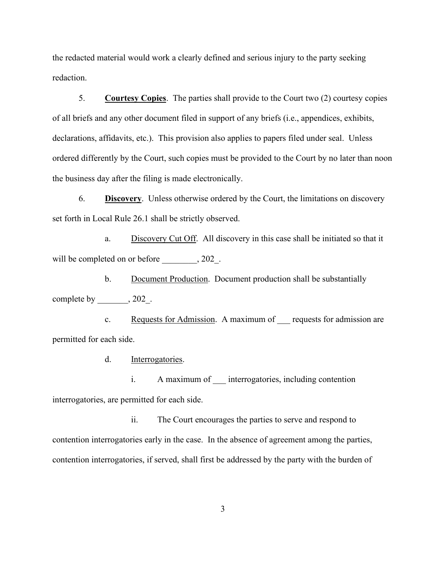the redacted material would work a clearly defined and serious injury to the party seeking redaction.

5. **Courtesy Copies**. The parties shall provide to the Court two (2) courtesy copies of all briefs and any other document filed in support of any briefs (i.e., appendices, exhibits, declarations, affidavits, etc.). This provision also applies to papers filed under seal. Unless ordered differently by the Court, such copies must be provided to the Court by no later than noon the business day after the filing is made electronically.

6. **Discovery**. Unless otherwise ordered by the Court, the limitations on discovery set forth in Local Rule 26.1 shall be strictly observed.

a. Discovery Cut Off. All discovery in this case shall be initiated so that it will be completed on or before \_\_\_\_\_\_\_\_, 202\_.

b. Document Production. Document production shall be substantially complete by \_\_\_\_\_\_\_\_\_, 202.

c. Requests for Admission. A maximum of requests for admission are permitted for each side.

d. Interrogatories.

i. A maximum of \_\_\_ interrogatories, including contention interrogatories, are permitted for each side.

ii. The Court encourages the parties to serve and respond to contention interrogatories early in the case. In the absence of agreement among the parties, contention interrogatories, if served, shall first be addressed by the party with the burden of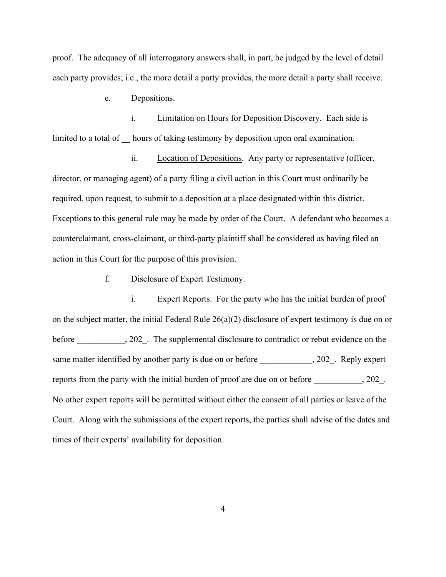proof. The adequacy of all interrogatory answers shall, in part, be judged by the level of detail each party provides; i.e., the more detail a party provides, the more detail a party shall receive.

e. Depositions.

i. Limitation on Hours for Deposition Discovery. Each side is limited to a total of hours of taking testimony by deposition upon oral examination.

ii. Location of Depositions. Any party or representative (officer, director, or managing agent) of a party filing a civil action in this Court must ordinarily be required, upon request, to submit to a deposition at a place designated within this district. Exceptions to this general rule may be made by order of the Court. A defendant who becomes a counterclaimant, cross-claimant, or third-party plaintiff shall be considered as having filed an action in this Court for the purpose of this provision.

#### f. Disclosure of Expert Testimony.

i. Expert Reports. For the party who has the initial burden of proof on the subject matter, the initial Federal Rule  $26(a)(2)$  disclosure of expert testimony is due on or before \_\_\_\_\_\_\_\_\_, 202\_. The supplemental disclosure to contradict or rebut evidence on the same matter identified by another party is due on or before \_\_\_\_\_\_\_\_\_\_, 202\_. Reply expert reports from the party with the initial burden of proof are due on or before \_\_\_\_\_\_\_\_\_\_\_, 202\_. No other expert reports will be permitted without either the consent of all parties or leave of the Court. Along with the submissions of the expert reports, the parties shall advise of the dates and times of their experts' availability for deposition.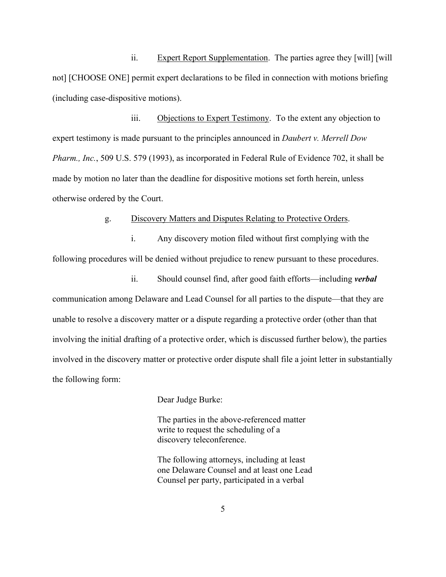ii. Expert Report Supplementation. The parties agree they [will] [will] not] [CHOOSE ONE] permit expert declarations to be filed in connection with motions briefing (including case-dispositive motions).

iii. Objections to Expert Testimony. To the extent any objection to expert testimony is made pursuant to the principles announced in *Daubert v. Merrell Dow Pharm., Inc.*, 509 U.S. 579 (1993), as incorporated in Federal Rule of Evidence 702, it shall be made by motion no later than the deadline for dispositive motions set forth herein, unless otherwise ordered by the Court.

g. Discovery Matters and Disputes Relating to Protective Orders.

i. Any discovery motion filed without first complying with the following procedures will be denied without prejudice to renew pursuant to these procedures.

ii. Should counsel find, after good faith efforts—including *verbal* communication among Delaware and Lead Counsel for all parties to the dispute—that they are unable to resolve a discovery matter or a dispute regarding a protective order (other than that involving the initial drafting of a protective order, which is discussed further below), the parties involved in the discovery matter or protective order dispute shall file a joint letter in substantially the following form:

Dear Judge Burke:

The parties in the above-referenced matter write to request the scheduling of a discovery teleconference.

The following attorneys, including at least one Delaware Counsel and at least one Lead Counsel per party, participated in a verbal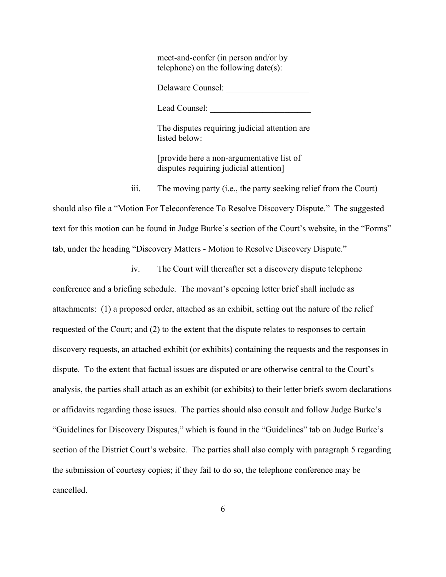meet-and-confer (in person and/or by telephone) on the following date(s):

Delaware Counsel:

Lead Counsel:

The disputes requiring judicial attention are listed below:

[provide here a non-argumentative list of disputes requiring judicial attention]

iii. The moving party (i.e., the party seeking relief from the Court)

should also file a "Motion For Teleconference To Resolve Discovery Dispute." The suggested text for this motion can be found in Judge Burke's section of the Court's website, in the "Forms" tab, under the heading "Discovery Matters - Motion to Resolve Discovery Dispute."

iv. The Court will thereafter set a discovery dispute telephone conference and a briefing schedule. The movant's opening letter brief shall include as attachments: (1) a proposed order, attached as an exhibit, setting out the nature of the relief requested of the Court; and (2) to the extent that the dispute relates to responses to certain discovery requests, an attached exhibit (or exhibits) containing the requests and the responses in dispute. To the extent that factual issues are disputed or are otherwise central to the Court's analysis, the parties shall attach as an exhibit (or exhibits) to their letter briefs sworn declarations or affidavits regarding those issues. The parties should also consult and follow Judge Burke's "Guidelines for Discovery Disputes," which is found in the "Guidelines" tab on Judge Burke's section of the District Court's website. The parties shall also comply with paragraph 5 regarding the submission of courtesy copies; if they fail to do so, the telephone conference may be cancelled.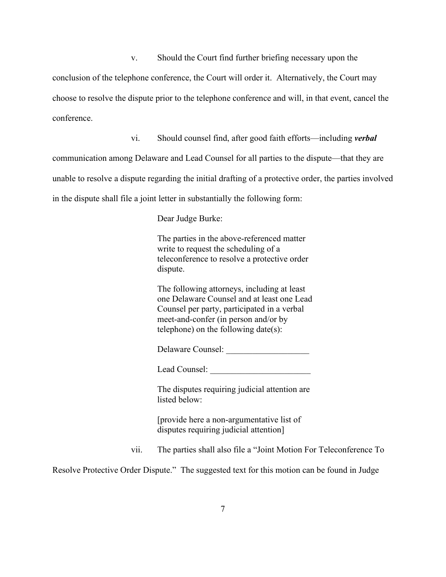v. Should the Court find further briefing necessary upon the

conclusion of the telephone conference, the Court will order it. Alternatively, the Court may choose to resolve the dispute prior to the telephone conference and will, in that event, cancel the conference.

vi. Should counsel find, after good faith efforts—including *verbal*

communication among Delaware and Lead Counsel for all parties to the dispute—that they are unable to resolve a dispute regarding the initial drafting of a protective order, the parties involved in the dispute shall file a joint letter in substantially the following form:

Dear Judge Burke:

The parties in the above-referenced matter write to request the scheduling of a teleconference to resolve a protective order dispute.

The following attorneys, including at least one Delaware Counsel and at least one Lead Counsel per party, participated in a verbal meet-and-confer (in person and/or by telephone) on the following date(s):

Delaware Counsel:

Lead Counsel:

The disputes requiring judicial attention are listed below:

[provide here a non-argumentative list of disputes requiring judicial attention]

vii. The parties shall also file a "Joint Motion For Teleconference To

Resolve Protective Order Dispute." The suggested text for this motion can be found in Judge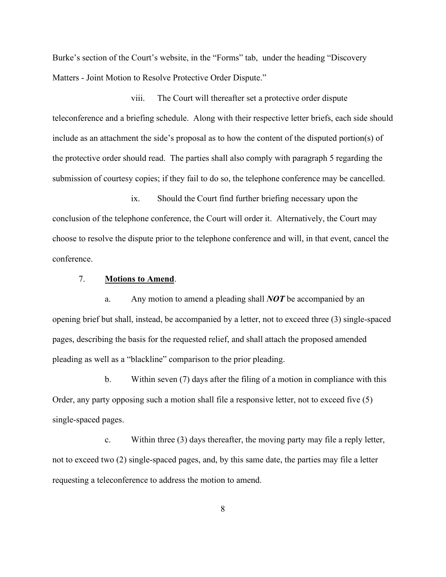Burke's section of the Court's website, in the "Forms" tab, under the heading "Discovery Matters - Joint Motion to Resolve Protective Order Dispute."

viii. The Court will thereafter set a protective order dispute teleconference and a briefing schedule. Along with their respective letter briefs, each side should include as an attachment the side's proposal as to how the content of the disputed portion(s) of the protective order should read. The parties shall also comply with paragraph 5 regarding the submission of courtesy copies; if they fail to do so, the telephone conference may be cancelled.

ix. Should the Court find further briefing necessary upon the conclusion of the telephone conference, the Court will order it. Alternatively, the Court may choose to resolve the dispute prior to the telephone conference and will, in that event, cancel the conference.

#### 7. **Motions to Amend**.

a. Any motion to amend a pleading shall *NOT* be accompanied by an opening brief but shall, instead, be accompanied by a letter, not to exceed three (3) single-spaced pages, describing the basis for the requested relief, and shall attach the proposed amended pleading as well as a "blackline" comparison to the prior pleading.

b. Within seven (7) days after the filing of a motion in compliance with this Order, any party opposing such a motion shall file a responsive letter, not to exceed five (5) single-spaced pages.

c. Within three (3) days thereafter, the moving party may file a reply letter, not to exceed two (2) single-spaced pages, and, by this same date, the parties may file a letter requesting a teleconference to address the motion to amend.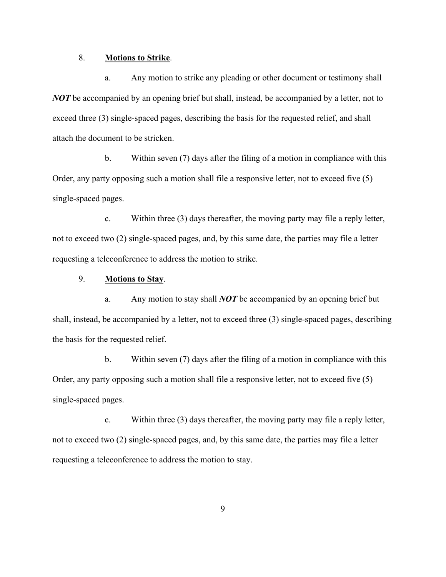## 8. **Motions to Strike**.

a. Any motion to strike any pleading or other document or testimony shall *NOT* be accompanied by an opening brief but shall, instead, be accompanied by a letter, not to exceed three (3) single-spaced pages, describing the basis for the requested relief, and shall attach the document to be stricken.

b. Within seven (7) days after the filing of a motion in compliance with this Order, any party opposing such a motion shall file a responsive letter, not to exceed five (5) single-spaced pages.

c. Within three (3) days thereafter, the moving party may file a reply letter, not to exceed two (2) single-spaced pages, and, by this same date, the parties may file a letter requesting a teleconference to address the motion to strike.

# 9. **Motions to Stay**.

a. Any motion to stay shall *NOT* be accompanied by an opening brief but shall, instead, be accompanied by a letter, not to exceed three (3) single-spaced pages, describing the basis for the requested relief.

b. Within seven (7) days after the filing of a motion in compliance with this Order, any party opposing such a motion shall file a responsive letter, not to exceed five (5) single-spaced pages.

c. Within three (3) days thereafter, the moving party may file a reply letter, not to exceed two (2) single-spaced pages, and, by this same date, the parties may file a letter requesting a teleconference to address the motion to stay.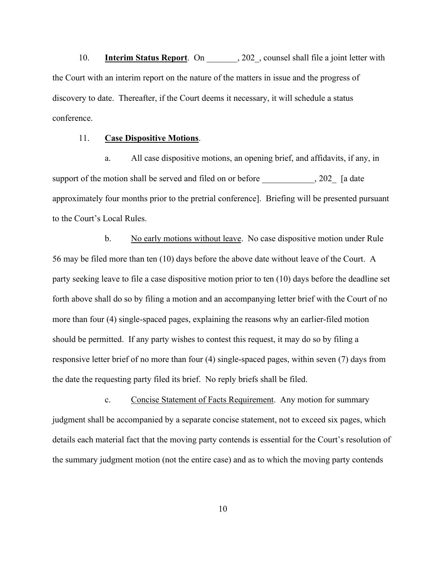10. **Interim Status Report**. On 202, counsel shall file a joint letter with the Court with an interim report on the nature of the matters in issue and the progress of discovery to date. Thereafter, if the Court deems it necessary, it will schedule a status conference.

#### 11. **Case Dispositive Motions**.

a. All case dispositive motions, an opening brief, and affidavits, if any, in support of the motion shall be served and filed on or before \_\_\_\_\_\_\_\_\_\_, 202\_ [a date approximately four months prior to the pretrial conference]. Briefing will be presented pursuant to the Court's Local Rules.

b. No early motions without leave. No case dispositive motion under Rule 56 may be filed more than ten (10) days before the above date without leave of the Court. A party seeking leave to file a case dispositive motion prior to ten (10) days before the deadline set forth above shall do so by filing a motion and an accompanying letter brief with the Court of no more than four (4) single-spaced pages, explaining the reasons why an earlier-filed motion should be permitted. If any party wishes to contest this request, it may do so by filing a responsive letter brief of no more than four (4) single-spaced pages, within seven (7) days from the date the requesting party filed its brief. No reply briefs shall be filed.

c. Concise Statement of Facts Requirement. Any motion for summary judgment shall be accompanied by a separate concise statement, not to exceed six pages, which details each material fact that the moving party contends is essential for the Court's resolution of the summary judgment motion (not the entire case) and as to which the moving party contends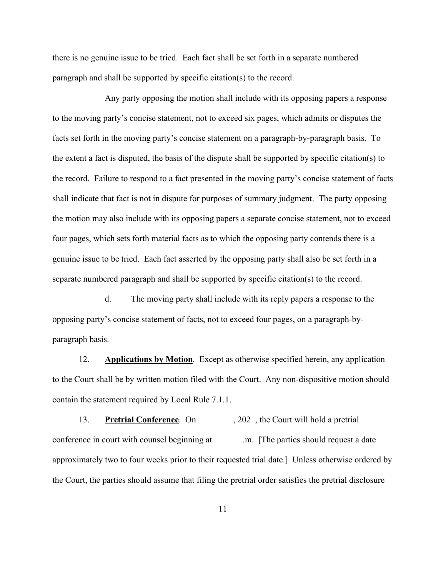there is no genuine issue to be tried. Each fact shall be set forth in a separate numbered paragraph and shall be supported by specific citation(s) to the record.

Any party opposing the motion shall include with its opposing papers a response to the moving party's concise statement, not to exceed six pages, which admits or disputes the facts set forth in the moving party's concise statement on a paragraph-by-paragraph basis. To the extent a fact is disputed, the basis of the dispute shall be supported by specific citation(s) to the record. Failure to respond to a fact presented in the moving party's concise statement of facts shall indicate that fact is not in dispute for purposes of summary judgment. The party opposing the motion may also include with its opposing papers a separate concise statement, not to exceed four pages, which sets forth material facts as to which the opposing party contends there is a genuine issue to be tried. Each fact asserted by the opposing party shall also be set forth in a separate numbered paragraph and shall be supported by specific citation(s) to the record.

d. The moving party shall include with its reply papers a response to the opposing party's concise statement of facts, not to exceed four pages, on a paragraph-byparagraph basis.

12. **Applications by Motion**. Except as otherwise specified herein, any application to the Court shall be by written motion filed with the Court. Any non-dispositive motion should contain the statement required by Local Rule 7.1.1.

13. **Pretrial Conference**. On 202, the Court will hold a pretrial conference in court with counsel beginning at \_\_\_\_\_\_\_\_.m. [The parties should request a date approximately two to four weeks prior to their requested trial date.] Unless otherwise ordered by the Court, the parties should assume that filing the pretrial order satisfies the pretrial disclosure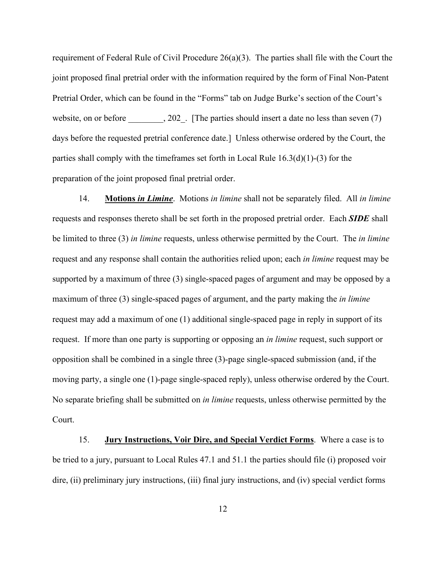requirement of Federal Rule of Civil Procedure 26(a)(3). The parties shall file with the Court the joint proposed final pretrial order with the information required by the form of Final Non-Patent Pretrial Order, which can be found in the "Forms" tab on Judge Burke's section of the Court's website, on or before  $\qquad \qquad$ , 202. [The parties should insert a date no less than seven (7) days before the requested pretrial conference date.] Unless otherwise ordered by the Court, the parties shall comply with the timeframes set forth in Local Rule 16.3(d)(1)-(3) for the preparation of the joint proposed final pretrial order.

14. **Motions** *in Limine*. Motions *in limine* shall not be separately filed. All *in limine*  requests and responses thereto shall be set forth in the proposed pretrial order. Each *SIDE* shall be limited to three (3) *in limine* requests, unless otherwise permitted by the Court. The *in limine*  request and any response shall contain the authorities relied upon; each *in limine* request may be supported by a maximum of three (3) single-spaced pages of argument and may be opposed by a maximum of three (3) single-spaced pages of argument, and the party making the *in limine*  request may add a maximum of one (1) additional single-spaced page in reply in support of its request. If more than one party is supporting or opposing an *in limine* request, such support or opposition shall be combined in a single three (3)-page single-spaced submission (and, if the moving party, a single one (1)-page single-spaced reply), unless otherwise ordered by the Court. No separate briefing shall be submitted on *in limine* requests, unless otherwise permitted by the Court.

15. **Jury Instructions, Voir Dire, and Special Verdict Forms**. Where a case is to be tried to a jury, pursuant to Local Rules 47.1 and 51.1 the parties should file (i) proposed voir dire, (ii) preliminary jury instructions, (iii) final jury instructions, and (iv) special verdict forms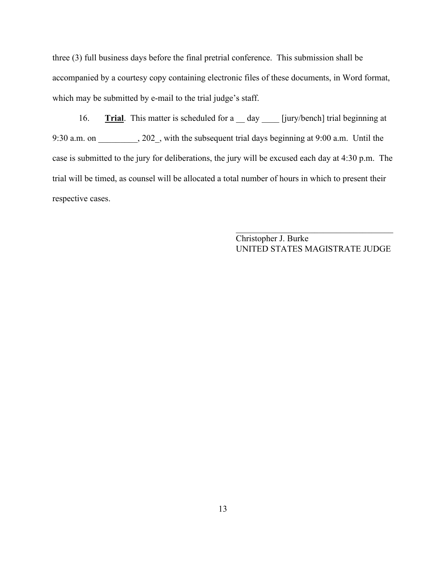three (3) full business days before the final pretrial conference. This submission shall be accompanied by a courtesy copy containing electronic files of these documents, in Word format, which may be submitted by e-mail to the trial judge's staff.

16. **Trial**. This matter is scheduled for a \_\_ day \_\_\_\_ [jury/bench] trial beginning at 9:30 a.m. on \_\_\_\_\_\_\_\_\_, 202\_, with the subsequent trial days beginning at 9:00 a.m. Until the case is submitted to the jury for deliberations, the jury will be excused each day at 4:30 p.m. The trial will be timed, as counsel will be allocated a total number of hours in which to present their respective cases.

> Christopher J. Burke UNITED STATES MAGISTRATE JUDGE